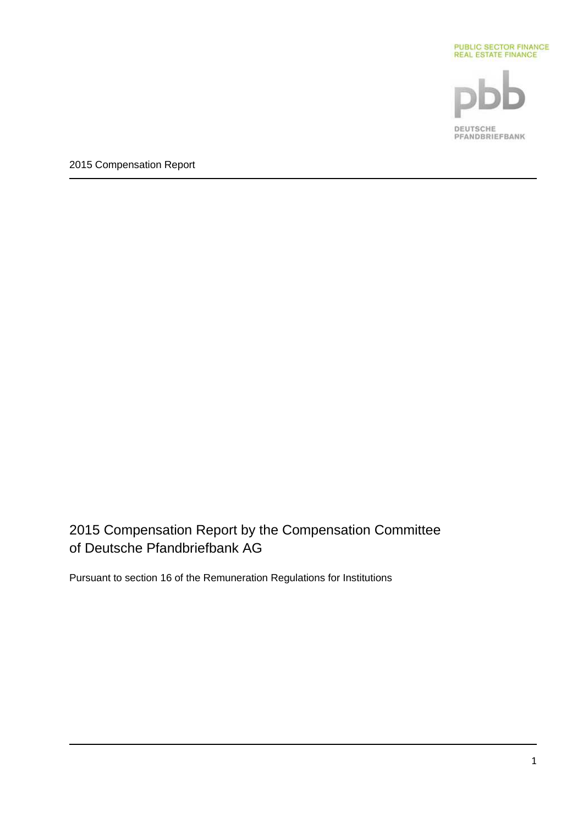

2015 Compensation Report by the Compensation Committee of Deutsche Pfandbriefbank AG

Pursuant to section 16 of the Remuneration Regulations for Institutions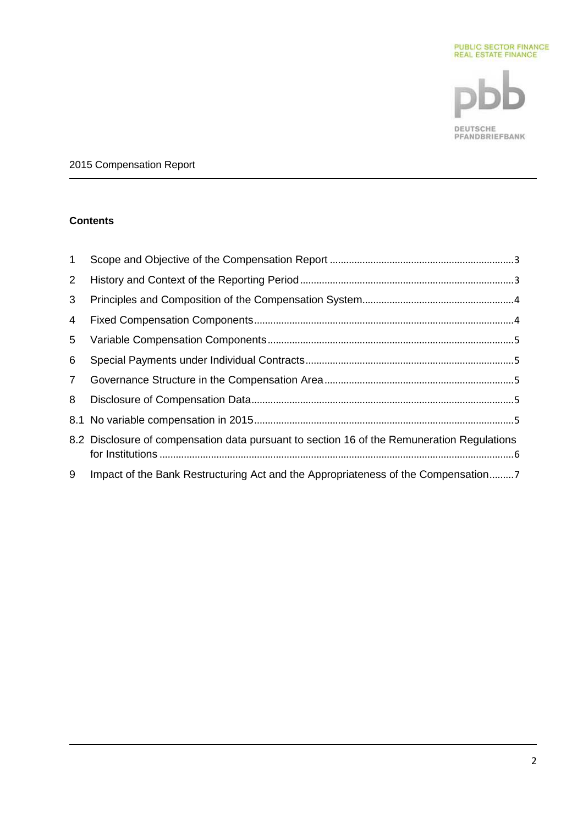

# **Contents**

| $\mathbf 1$     |                                                                                            |
|-----------------|--------------------------------------------------------------------------------------------|
| $\overline{2}$  |                                                                                            |
| 3               |                                                                                            |
| $\overline{4}$  |                                                                                            |
| 5               |                                                                                            |
| 6               |                                                                                            |
| $7\overline{ }$ |                                                                                            |
| 8               |                                                                                            |
|                 |                                                                                            |
|                 | 8.2 Disclosure of compensation data pursuant to section 16 of the Remuneration Regulations |
| 9               | Impact of the Bank Restructuring Act and the Appropriateness of the Compensation7          |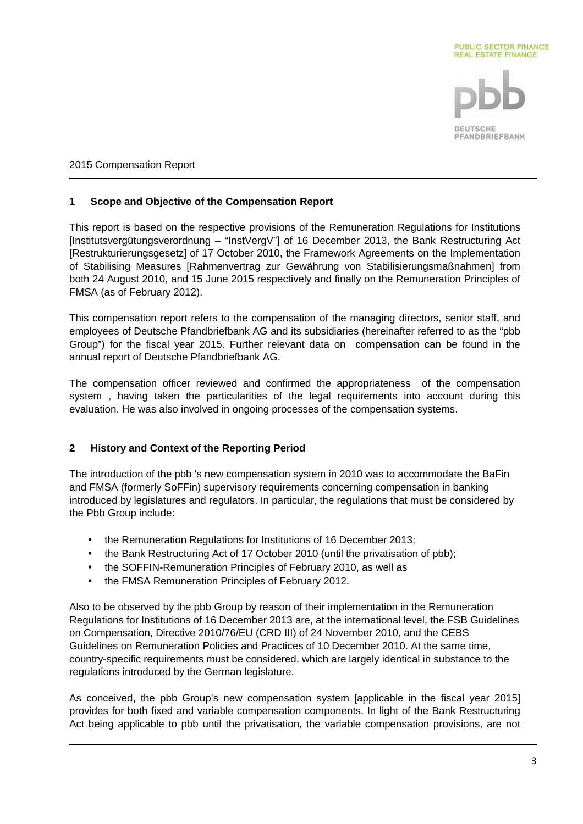

## **1 Scope and Objective of the Compensation Report**

This report is based on the respective provisions of the Remuneration Regulations for Institutions [Institutsvergütungsverordnung – "InstVergV"] of 16 December 2013, the Bank Restructuring Act [Restrukturierungsgesetz] of 17 October 2010, the Framework Agreements on the Implementation of Stabilising Measures [Rahmenvertrag zur Gewährung von Stabilisierungsmaßnahmen] from both 24 August 2010, and 15 June 2015 respectively and finally on the Remuneration Principles of FMSA (as of February 2012).

This compensation report refers to the compensation of the managing directors, senior staff, and employees of Deutsche Pfandbriefbank AG and its subsidiaries (hereinafter referred to as the "pbb Group") for the fiscal year 2015. Further relevant data on compensation can be found in the annual report of Deutsche Pfandbriefbank AG.

The compensation officer reviewed and confirmed the appropriateness of the compensation system , having taken the particularities of the legal requirements into account during this evaluation. He was also involved in ongoing processes of the compensation systems.

# **2 History and Context of the Reporting Period**

The introduction of the pbb 's new compensation system in 2010 was to accommodate the BaFin and FMSA (formerly SoFFin) supervisory requirements concerning compensation in banking introduced by legislatures and regulators. In particular, the regulations that must be considered by the Pbb Group include:

- the Remuneration Regulations for Institutions of 16 December 2013;
- the Bank Restructuring Act of 17 October 2010 (until the privatisation of pbb);
- the SOFFIN-Remuneration Principles of February 2010, as well as
- the FMSA Remuneration Principles of February 2012.

Also to be observed by the pbb Group by reason of their implementation in the Remuneration Regulations for Institutions of 16 December 2013 are, at the international level, the FSB Guidelines on Compensation, Directive 2010/76/EU (CRD III) of 24 November 2010, and the CEBS Guidelines on Remuneration Policies and Practices of 10 December 2010. At the same time, country-specific requirements must be considered, which are largely identical in substance to the regulations introduced by the German legislature.

As conceived, the pbb Group's new compensation system [applicable in the fiscal year 2015] provides for both fixed and variable compensation components. In light of the Bank Restructuring Act being applicable to pbb until the privatisation, the variable compensation provisions, are not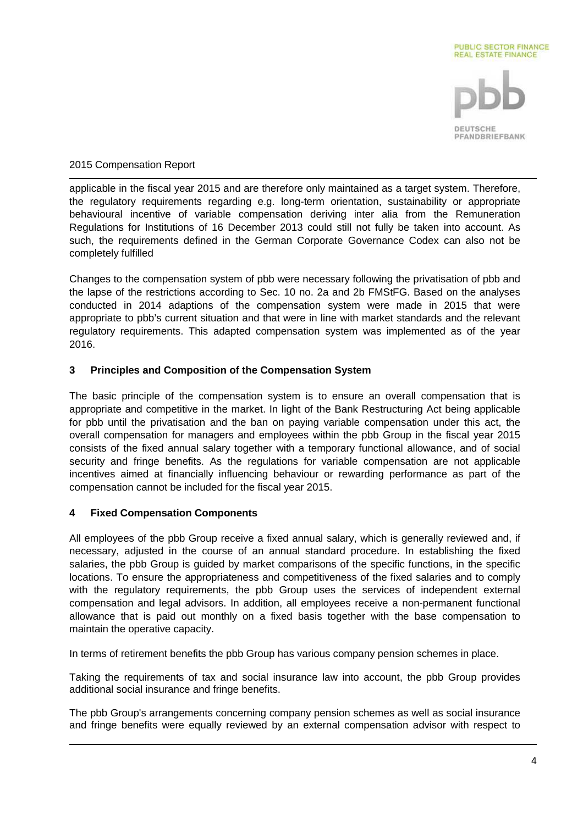

applicable in the fiscal year 2015 and are therefore only maintained as a target system. Therefore, the regulatory requirements regarding e.g. long-term orientation, sustainability or appropriate behavioural incentive of variable compensation deriving inter alia from the Remuneration Regulations for Institutions of 16 December 2013 could still not fully be taken into account. As such, the requirements defined in the German Corporate Governance Codex can also not be completely fulfilled

Changes to the compensation system of pbb were necessary following the privatisation of pbb and the lapse of the restrictions according to Sec. 10 no. 2a and 2b FMStFG. Based on the analyses conducted in 2014 adaptions of the compensation system were made in 2015 that were appropriate to pbb's current situation and that were in line with market standards and the relevant regulatory requirements. This adapted compensation system was implemented as of the year 2016.

# **3 Principles and Composition of the Compensation System**

The basic principle of the compensation system is to ensure an overall compensation that is appropriate and competitive in the market. In light of the Bank Restructuring Act being applicable for pbb until the privatisation and the ban on paying variable compensation under this act, the overall compensation for managers and employees within the pbb Group in the fiscal year 2015 consists of the fixed annual salary together with a temporary functional allowance, and of social security and fringe benefits. As the regulations for variable compensation are not applicable incentives aimed at financially influencing behaviour or rewarding performance as part of the compensation cannot be included for the fiscal year 2015.

# **4 Fixed Compensation Components**

All employees of the pbb Group receive a fixed annual salary, which is generally reviewed and, if necessary, adjusted in the course of an annual standard procedure. In establishing the fixed salaries, the pbb Group is guided by market comparisons of the specific functions, in the specific locations. To ensure the appropriateness and competitiveness of the fixed salaries and to comply with the regulatory requirements, the pbb Group uses the services of independent external compensation and legal advisors. In addition, all employees receive a non-permanent functional allowance that is paid out monthly on a fixed basis together with the base compensation to maintain the operative capacity.

In terms of retirement benefits the pbb Group has various company pension schemes in place.

Taking the requirements of tax and social insurance law into account, the pbb Group provides additional social insurance and fringe benefits.

The pbb Group's arrangements concerning company pension schemes as well as social insurance and fringe benefits were equally reviewed by an external compensation advisor with respect to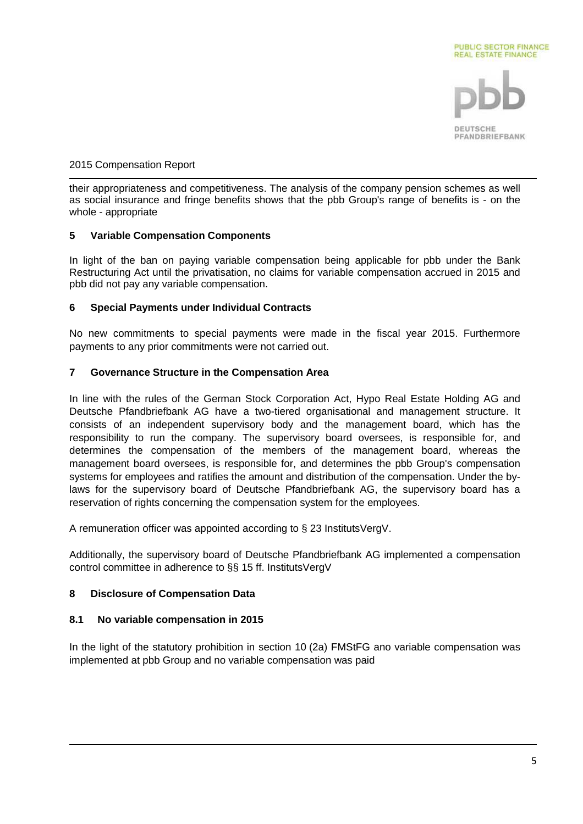

their appropriateness and competitiveness. The analysis of the company pension schemes as well as social insurance and fringe benefits shows that the pbb Group's range of benefits is - on the whole - appropriate

## **5 Variable Compensation Components**

In light of the ban on paying variable compensation being applicable for pbb under the Bank Restructuring Act until the privatisation, no claims for variable compensation accrued in 2015 and pbb did not pay any variable compensation.

## **6 Special Payments under Individual Contracts**

No new commitments to special payments were made in the fiscal year 2015. Furthermore payments to any prior commitments were not carried out.

## **7 Governance Structure in the Compensation Area**

In line with the rules of the German Stock Corporation Act, Hypo Real Estate Holding AG and Deutsche Pfandbriefbank AG have a two-tiered organisational and management structure. It consists of an independent supervisory body and the management board, which has the responsibility to run the company. The supervisory board oversees, is responsible for, and determines the compensation of the members of the management board, whereas the management board oversees, is responsible for, and determines the pbb Group's compensation systems for employees and ratifies the amount and distribution of the compensation. Under the bylaws for the supervisory board of Deutsche Pfandbriefbank AG, the supervisory board has a reservation of rights concerning the compensation system for the employees.

A remuneration officer was appointed according to § 23 InstitutsVergV.

Additionally, the supervisory board of Deutsche Pfandbriefbank AG implemented a compensation control committee in adherence to §§ 15 ff. InstitutsVergV

# **8 Disclosure of Compensation Data**

#### **8.1 No variable compensation in 2015**

In the light of the statutory prohibition in section 10 (2a) FMStFG ano variable compensation was implemented at pbb Group and no variable compensation was paid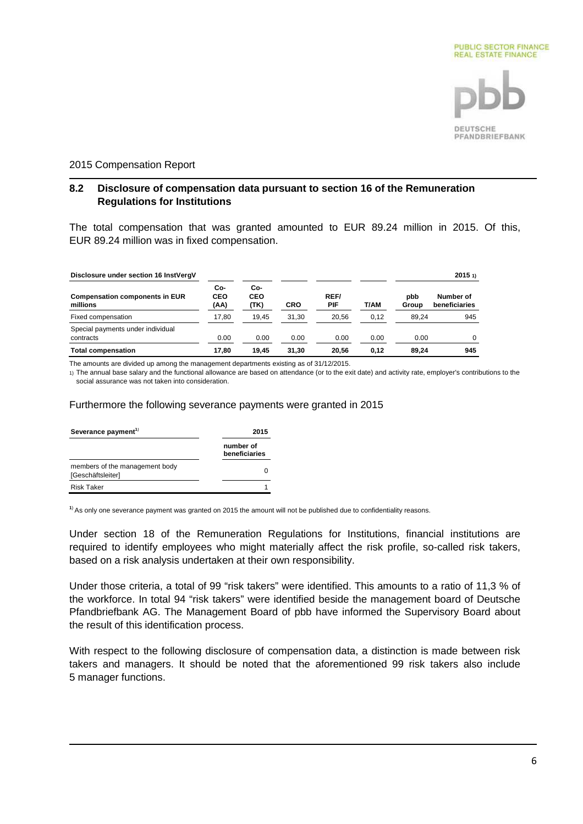

#### **8.2 Disclosure of compensation data pursuant to section 16 of the Remuneration Regulations for Institutions**

The total compensation that was granted amounted to EUR 89.24 million in 2015. Of this, EUR 89.24 million was in fixed compensation.

| Disclosure under section 16 InstVergV             |                    |                    |            |             |      |              | 20151                      |
|---------------------------------------------------|--------------------|--------------------|------------|-------------|------|--------------|----------------------------|
| <b>Compensation components in EUR</b><br>millions | Co-<br>CEO<br>(AA) | Co-<br>CEO<br>(TK) | <b>CRO</b> | REF/<br>PIF | T/AM | pbb<br>Group | Number of<br>beneficiaries |
| Fixed compensation                                | 17.80              | 19.45              | 31.30      | 20.56       | 0.12 | 89.24        | 945                        |
| Special payments under individual<br>contracts    | 0.00               | 0.00               | 0.00       | 0.00        | 0.00 | 0.00         | $\Omega$                   |
| <b>Total compensation</b>                         | 17.80              | 19.45              | 31.30      | 20.56       | 0.12 | 89.24        | 945                        |

The amounts are divided up among the management departments existing as of 31/12/2015.

1) The annual base salary and the functional allowance are based on attendance (or to the exit date) and activity rate, employer's contributions to the social assurance was not taken into consideration.

#### Furthermore the following severance payments were granted in 2015

| Severance payment <sup>1)</sup>                     | 2015                       |
|-----------------------------------------------------|----------------------------|
|                                                     | number of<br>beneficiaries |
| members of the management body<br>[Geschäftsleiter] |                            |
| <b>Risk Taker</b>                                   |                            |

**<sup>1</sup>**) As only one severance payment was granted on 2015 the amount will not be published due to confidentiality reasons.

Under section 18 of the Remuneration Regulations for Institutions, financial institutions are required to identify employees who might materially affect the risk profile, so-called risk takers, based on a risk analysis undertaken at their own responsibility.

Under those criteria, a total of 99 "risk takers" were identified. This amounts to a ratio of 11,3 % of the workforce. In total 94 "risk takers" were identified beside the management board of Deutsche Pfandbriefbank AG. The Management Board of pbb have informed the Supervisory Board about the result of this identification process.

With respect to the following disclosure of compensation data, a distinction is made between risk takers and managers. It should be noted that the aforementioned 99 risk takers also include 5 manager functions.